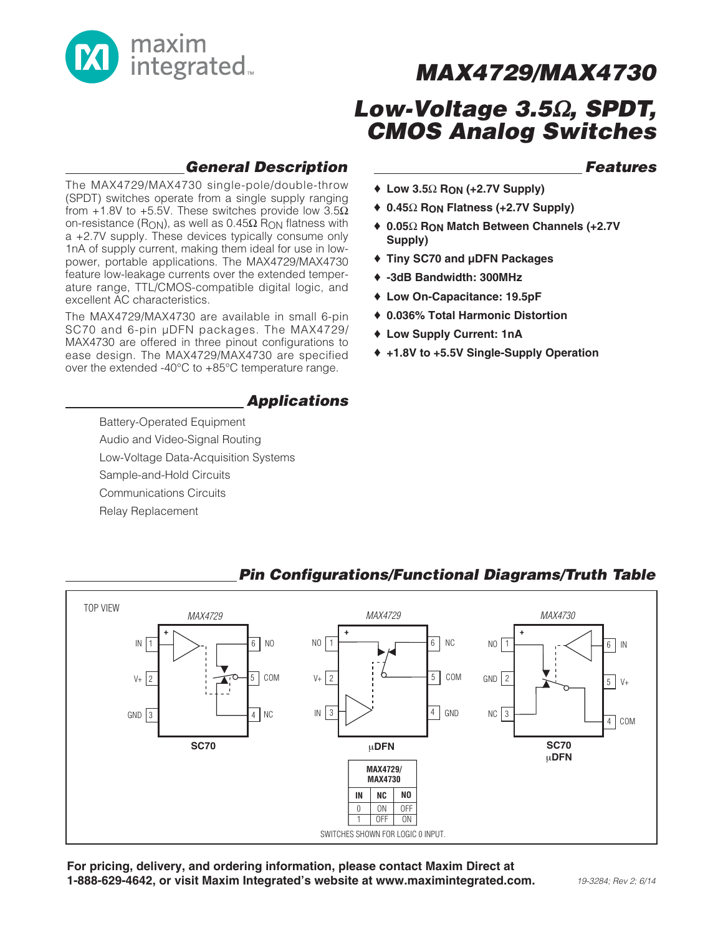

## **MAX4729/MAX4730**

## **Low-Voltage 3.5**Ω**, SPDT, CMOS Analog Switches**

♦ **Low 3.5**Ω **RON (+2.7V Supply)**

♦ **Tiny SC70 and µDFN Packages**

♦ **-3dB Bandwidth: 300MHz** ♦ **Low On-Capacitance: 19.5pF** ♦ **0.036% Total Harmonic Distortion**

♦ **Low Supply Current: 1nA**

**Supply)**

♦ **0.45**Ω **RON Flatness (+2.7V Supply)**

♦ **0.05**Ω **RON Match Between Channels (+2.7V**

♦ **+1.8V to +5.5V Single-Supply Operation**

### **Features**

**General Description**

The MAX4729/MAX4730 single-pole/double-throw (SPDT) switches operate from a single supply ranging from +1.8V to +5.5V. These switches provide low  $3.5\Omega$ on-resistance (R<sub>ON</sub>), as well as  $0.45Ω$  R<sub>ON</sub> flatness with a +2.7V supply. These devices typically consume only 1nA of supply current, making them ideal for use in lowpower, portable applications. The MAX4729/MAX4730 feature low-leakage currents over the extended temperature range, TTL/CMOS-compatible digital logic, and excellent AC characteristics.

The MAX4729/MAX4730 are available in small 6-pin SC70 and 6-pin µDFN packages. The MAX4729/ MAX4730 are offered in three pinout configurations to ease design. The MAX4729/MAX4730 are specified over the extended -40°C to +85°C temperature range.

### **Applications**

Battery-Operated Equipment Audio and Video-Signal Routing Low-Voltage Data-Acquisition Systems Sample-and-Hold Circuits Communications Circuits

Relay Replacement



#### **For pricing, delivery, and ordering information, please contact Maxim Direct at 1-888-629-4642, or visit Maxim Integrated's website at www.maximintegrated.com.**

### **Pin Configurations/Functional Diagrams/Truth Table**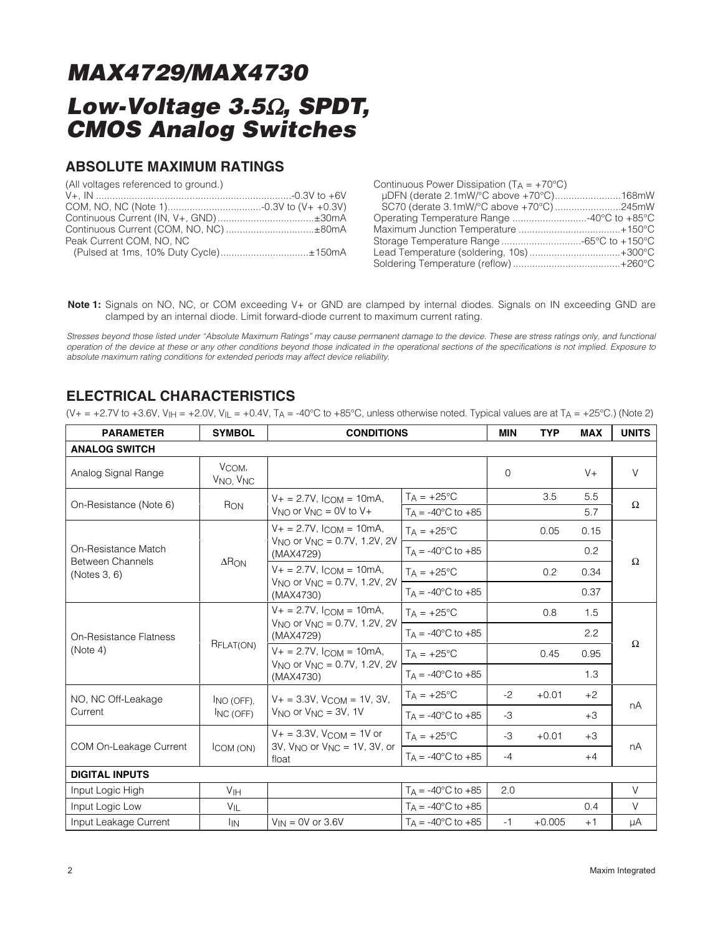#### **ABSOLUTE MAXIMUM RATINGS**

| (All voltages referenced to ground.)  |  |
|---------------------------------------|--|
|                                       |  |
|                                       |  |
| Continuous Current (IN, V+, GND)±30mA |  |
|                                       |  |
| Peak Current COM, NO, NC              |  |
| (Pulsed at 1ms, 10% Duty Cycle)±150mA |  |

| Continuous Power Dissipation $(T_A = +70^{\circ}C)$ |  |
|-----------------------------------------------------|--|
| µDFN (derate 2.1mW/°C above +70°C)168mW             |  |
| SC70 (derate 3.1mW/°C above +70°C)245mW             |  |
| Operating Temperature Range 40°C to +85°C           |  |
|                                                     |  |
|                                                     |  |
| Lead Temperature (soldering, 10s)+300°C             |  |
|                                                     |  |

**Note 1:** Signals on NO, NC, or COM exceeding V+ or GND are clamped by internal diodes. Signals on IN exceeding GND are clamped by an internal diode. Limit forward-diode current to maximum current rating.

Stresses beyond those listed under "Absolute Maximum Ratings" may cause permanent damage to the device. These are stress ratings only, and functional operation of the device at these or any other conditions beyond those indicated in the operational sections of the specifications is not implied. Exposure to absolute maximum rating conditions for extended periods may affect device reliability.

### **ELECTRICAL CHARACTERISTICS**

 $(V+=+2.7V$  to +3.6V,  $V_{\text{H}}=+2.0V$ ,  $V_{\text{L}}=+0.4V$ ,  $T_{\text{A}}=-40^{\circ}\text{C}$  to +85°C, unless otherwise noted. Typical values are at  $T_{\text{A}}=+25^{\circ}\text{C}$ .) (Note 2)

| <b>PARAMETER</b>                               | <b>SYMBOL</b>                              | <b>CONDITIONS</b>                                                                                |                                | <b>MIN</b> | <b>TYP</b> | <b>MAX</b> | <b>UNITS</b> |
|------------------------------------------------|--------------------------------------------|--------------------------------------------------------------------------------------------------|--------------------------------|------------|------------|------------|--------------|
| <b>ANALOG SWITCH</b>                           |                                            |                                                                                                  |                                |            |            |            |              |
| Analog Signal Range                            | VCOM.<br>V <sub>NO</sub> , V <sub>NC</sub> |                                                                                                  |                                | $\Omega$   |            | $V +$      | $\vee$       |
| On-Resistance (Note 6)                         | RON                                        | $V_+ = 2.7V$ , $I_{COM} = 10mA$ ,                                                                | $T_A = +25^{\circ}C$           |            | 3.5        | 5.5        | Ω            |
|                                                |                                            | $V_{NQ}$ or $V_{NC} = 0V$ to $V +$                                                               | $T_A = -40^{\circ}$ C to $+85$ |            |            | 5.7        |              |
|                                                |                                            | $V_+ = 2.7V$ , $l_{COM} = 10mA$ ,<br>$V_{NQ}$ or $V_{NC} = 0.7V$ , 1.2V, 2V                      | $TA = +25^{\circ}C$            |            | 0.05       | 0.15       |              |
| On-Resistance Match<br><b>Between Channels</b> | $\Delta$ RON                               | (MAX4729)                                                                                        | $T_A = -40^{\circ}C$ to $+85$  |            |            | 0.2        | Ω            |
| (Notes 3, 6)                                   |                                            | $V_+ = 2.7V$ , $l_{\text{COM}} = 10 \text{mA}$ ,<br>$V_{NQ}$ or $V_{NC} = 0.7V$ , 1.2V, 2V       | $Ta = +25^{\circ}C$            |            | 0.2        | 0.34       |              |
|                                                |                                            | (MAX4730)                                                                                        | $Ta = -40^{\circ}C$ to $+85$   |            |            | 0.37       |              |
|                                                | RFLAT(ON)                                  | $V_+ = 2.7V$ , $I_{COM} = 10$ mA,<br>$V_{NQ}$ or $V_{NC} = 0.7V$ , 1.2V, 2V<br>(MAX4729)         | $Ta = +25^{\circ}C$            |            | 0.8        | 1.5        | Ω            |
| <b>On-Resistance Flatness</b><br>(Note 4)      |                                            |                                                                                                  | $T_A = -40^{\circ}C$ to $+85$  |            |            | 2.2        |              |
|                                                |                                            | $V_+ = 2.7V$ , $l_{COM} = 10mA$ ,<br>$V_{NQ}$ or $V_{NC} = 0.7V$ , 1.2V, 2V<br>(MAX4730)         | $T_A = +25^{\circ}C$           |            | 0.45       | 0.95       |              |
|                                                |                                            |                                                                                                  | $Ta = -40^{\circ}C$ to $+85$   |            |            | 1.3        |              |
| NO, NC Off-Leakage                             | INO (OFF).                                 | $V_+ = 3.3V$ , $V_{\text{COM}} = 1V$ , 3V,                                                       | $TA = +25^{\circ}C$            | $-2$       | $+0.01$    | $+2$       | nA           |
| Current                                        | INC(OFF)                                   | $V_{\text{NO}}$ or $V_{\text{NC}} = 3V$ , 1V                                                     | $TA = -40^{\circ}C$ to $+85$   | $-3$       |            | $+3$       |              |
| COM On-Leakage Current                         | ICOM (ON)                                  | $V_+ = 3.3V$ , $V_{\text{COM}} = 1V$ or<br>$3V$ , $V_{NQ}$ or $V_{NC} = 1V$ , $3V$ , or<br>float | $T_A = +25^{\circ}C$           | $-3$       | $+0.01$    | $+3$       | nA           |
|                                                |                                            |                                                                                                  | $T_A = -40^{\circ}C$ to $+85$  | $-4$       |            | $+4$       |              |
| <b>DIGITAL INPUTS</b>                          |                                            |                                                                                                  |                                |            |            |            |              |
| Input Logic High                               | <b>V<sub>IH</sub></b>                      |                                                                                                  | $T_A = -40^{\circ}C$ to $+85$  | 2.0        |            |            | $\vee$       |
| Input Logic Low                                | $V_{\parallel}$                            |                                                                                                  | $T_A = -40^{\circ}C$ to $+85$  |            |            | 0.4        | V            |
| Input Leakage Current                          | <b>I</b> IN                                | $V_{IN} = 0V$ or 3.6V                                                                            | $T_A = -40^{\circ}C$ to $+85$  | $-1$       | $+0.005$   | $+1$       | μA           |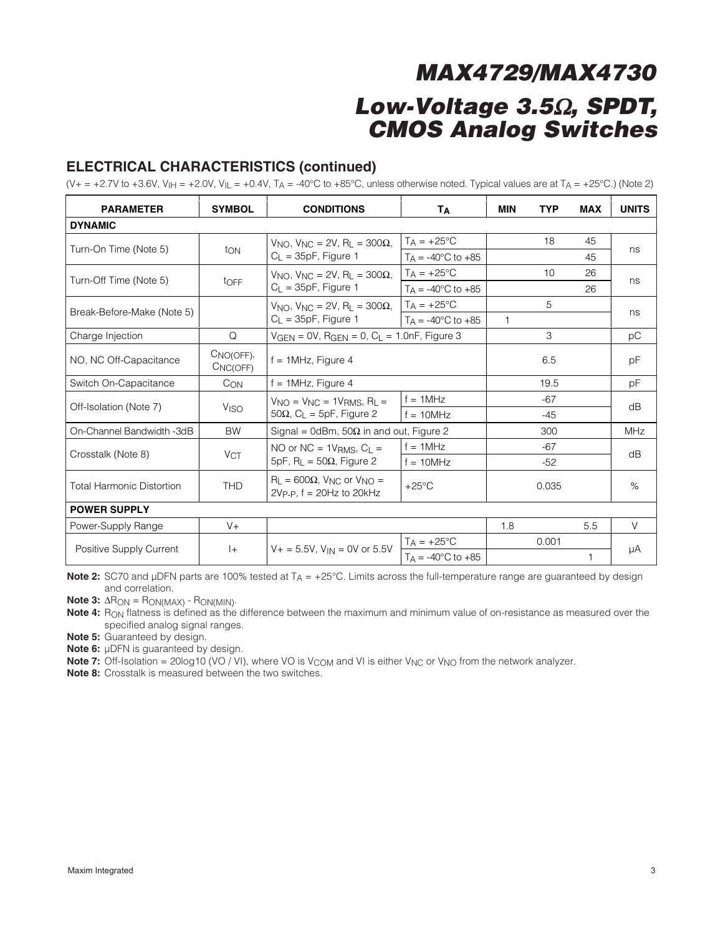### **ELECTRICAL CHARACTERISTICS (continued)**

(V+ = +2.7V to +3.6V, V<sub>IH</sub> = +2.0V, V<sub>IL</sub> = +0.4V, T<sub>A</sub> = -40°C to +85°C, unless otherwise noted. Typical values are at T<sub>A</sub> = +25°C.) (Note 2)

| <b>PARAMETER</b>           | <b>SYMBOL</b>            | <b>CONDITIONS</b><br>Τд                                                                             |                                                | <b>MIN</b>   | <b>TYP</b> | <b>MAX</b> | <b>UNITS</b> |  |
|----------------------------|--------------------------|-----------------------------------------------------------------------------------------------------|------------------------------------------------|--------------|------------|------------|--------------|--|
| <b>DYNAMIC</b>             |                          |                                                                                                     |                                                |              |            |            |              |  |
|                            |                          | $V_{NQ}$ , $V_{NC} = 2V$ , R <sub>1</sub> = 300 $\Omega$ ,                                          | $T_A = +25^{\circ}C$                           |              | 18         | 45         | ns           |  |
| Turn-On Time (Note 5)      | ton                      | $C_L = 35pF$ , Figure 1                                                                             | $T_A = -40^{\circ}C$ to $+85$                  |              |            | 45         |              |  |
| Turn-Off Time (Note 5)     |                          | $V_{\text{NO}}$ , $V_{\text{NC}} = 2V$ , R <sub>L</sub> = 300 $\Omega$ ,                            | $T_A = +25^{\circ}C$                           |              | 10         | 26         |              |  |
|                            | toFF                     | $C_L = 35pF$ , Figure 1                                                                             | $T_A = -40^{\circ}C$ to $+85$                  |              |            | 26         | ns           |  |
| Break-Before-Make (Note 5) |                          | $V_{\text{NO}}$ , $V_{\text{NC}} = 2V$ , R <sub>L</sub> = 300 $\Omega$                              | $T_A = +25^{\circ}C$                           |              | 5          |            | ns           |  |
|                            |                          | $C_{L}$ = 35pF, Figure 1                                                                            | $T_A = -40^{\circ}C$ to $+85$                  | $\mathbf{1}$ |            |            |              |  |
| Charge Injection           | Q                        | $V_{GEN} = 0V$ , R <sub>GEN</sub> = 0, C <sub>L</sub> = 1.0nF, Figure 3                             |                                                |              | 3          |            | рC           |  |
| NO, NC Off-Capacitance     | $CNO(OFF)$ ,<br>CNC(OFF) | $f = 1$ MHz, Figure 4                                                                               |                                                |              | 6.5        |            | рF           |  |
| Switch On-Capacitance      | Con                      | $f = 1$ MHz, Figure 4                                                                               |                                                |              | 19.5       |            | рF           |  |
| Off-Isolation (Note 7)     | <b>V<sub>ISO</sub></b>   | $V_{NO} = V_{NC} = 1V_{RMS}$ , R <sub>L</sub> =<br>$50\Omega$ , C <sub>L</sub> = 5pF, Figure 2      | $f = 1MHz$                                     |              | $-67$      |            | dB           |  |
|                            |                          |                                                                                                     | $f = 10MHz$                                    |              | $-45$      |            |              |  |
| On-Channel Bandwidth -3dB  | <b>BW</b>                |                                                                                                     | Signal = 0dBm, $50\Omega$ in and out, Figure 2 |              | 300        |            | MHz          |  |
| Crosstalk (Note 8)         | V <sub>CT</sub>          | NO or $NC = 1V_{RMS}$ , $C_L =$                                                                     | $f = 1$ MHz                                    |              | $-67$      |            | dB           |  |
|                            |                          | $5pF$ , R <sub>L</sub> = 50 $\Omega$ , Figure 2                                                     | $f = 10$ MHz                                   |              | $-52$      |            |              |  |
| Total Harmonic Distortion  | <b>THD</b>               | $R_L = 600\Omega$ , $V_{NC}$ or $V_{NO} =$<br>$+25^{\circ}$ C<br>$2V_{P-P}$ , f = $20Hz$ to $20kHz$ |                                                |              | 0.035      |            | %            |  |
| <b>POWER SUPPLY</b>        |                          |                                                                                                     |                                                |              |            |            |              |  |
| Power-Supply Range         | $V +$                    |                                                                                                     |                                                | 1.8          |            | 5.5        | $\vee$       |  |
|                            | $ + $                    | $V_+ = 5.5V$ , $V_{IN} = 0V$ or 5.5V                                                                | $T_A = +25^{\circ}C$                           |              | 0.001      |            |              |  |
| Positive Supply Current    |                          |                                                                                                     | $Ta = -40^{\circ}C$ to $+85$                   |              |            | 1          | μA           |  |

**Note 2:** SC70 and µDFN parts are 100% tested at T<sub>A</sub> = +25°C. Limits across the full-temperature range are guaranteed by design and correlation.

**Note 3:** ΔRON = RON(MAX) - RON(MIN).

Note 4: R<sub>ON</sub> flatness is defined as the difference between the maximum and minimum value of on-resistance as measured over the specified analog signal ranges.

**Note 5:** Guaranteed by design.

**Note 6:** µDFN is guaranteed by design.

**Note 7:** Off-Isolation = 20log10 (VO / VI), where VO is  $V_{COM}$  and VI is either  $V_{NC}$  or  $V_{NO}$  from the network analyzer.

**Note 8:** Crosstalk is measured between the two switches.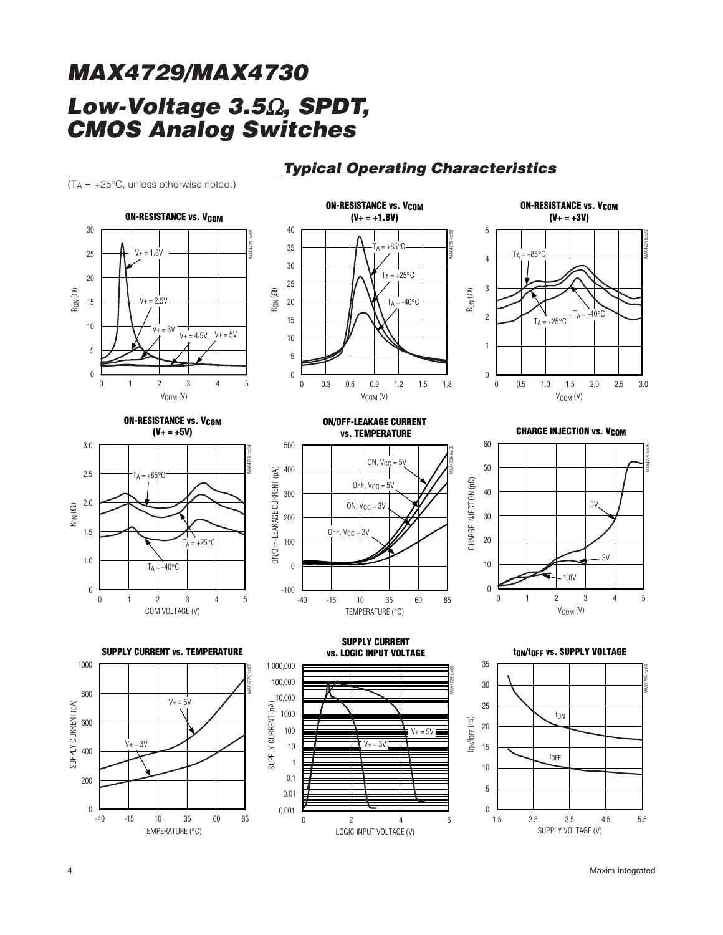### **Typical Operating Characteristics**

 $(T_A = +25^{\circ}C$ , unless otherwise noted.)





**ON-RESISTANCE vs. V<sub>COM</sub>** 







**ON/OFF-LEAKAGE CURRENT vs. TEMPERATURE**













**tON/tOFF vs. SUPPLY VOLTAGE**

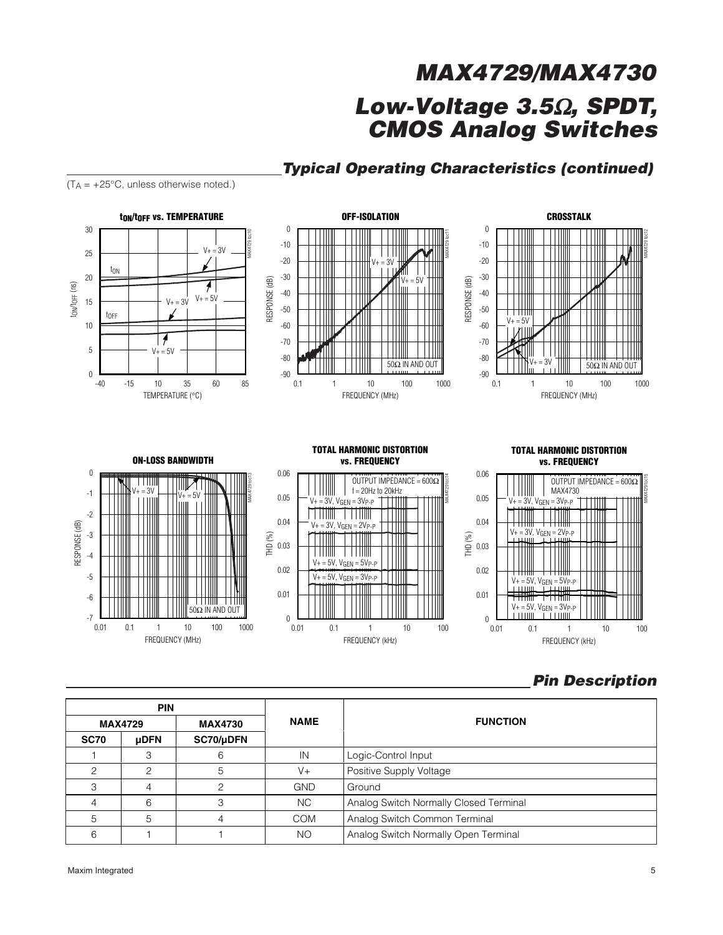

### **Typical Operating Characteristics (continued)**

### **Pin Description**

|             | <b>PIN</b>     |                |             | <b>FUNCTION</b>                        |  |
|-------------|----------------|----------------|-------------|----------------------------------------|--|
|             | <b>MAX4729</b> | <b>MAX4730</b> | <b>NAME</b> |                                        |  |
| <b>SC70</b> | <b>uDFN</b>    | SC70/µDFN      |             |                                        |  |
|             |                | 6              | IN          | Logic-Control Input                    |  |
| ◠           | ◠              | 5              | $V +$       | Positive Supply Voltage                |  |
| З           |                |                | <b>GND</b>  | Ground                                 |  |
|             | 6              | З              | NC.         | Analog Switch Normally Closed Terminal |  |
| 5           | 5              |                | <b>COM</b>  | Analog Switch Common Terminal          |  |
| 6           |                |                | NO          | Analog Switch Normally Open Terminal   |  |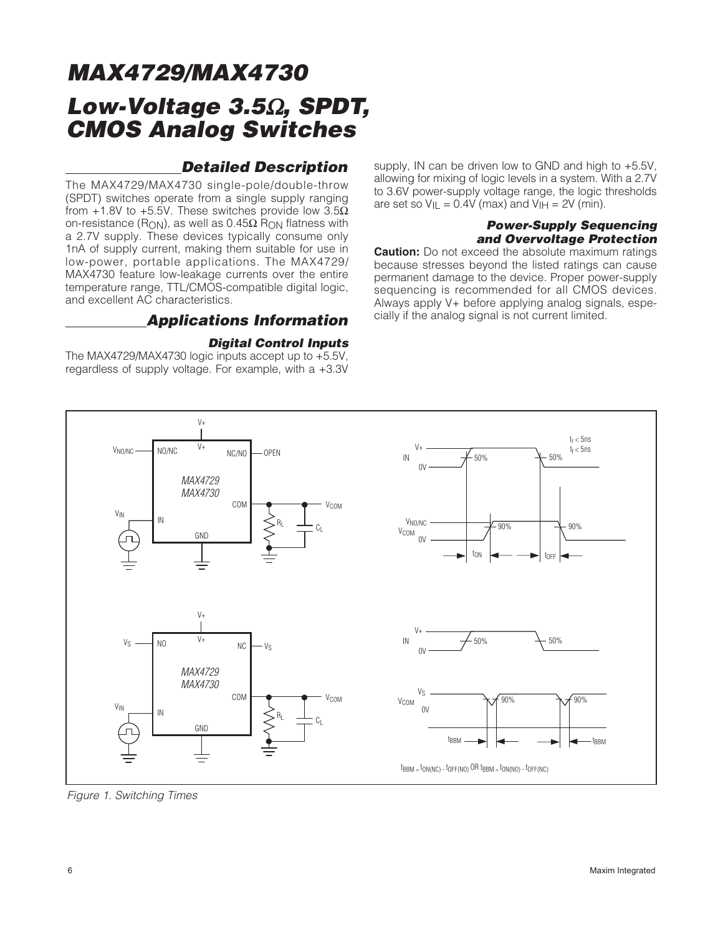### **Detailed Description**

The MAX4729/MAX4730 single-pole/double-throw (SPDT) switches operate from a single supply ranging from +1.8V to +5.5V. These switches provide low  $3.5\Omega$ on-resistance (R<sub>ON</sub>), as well as  $0.45Ω$  R<sub>ON</sub> flatness with a 2.7V supply. These devices typically consume only 1nA of supply current, making them suitable for use in low-power, portable applications. The MAX4729/ MAX4730 feature low-leakage currents over the entire temperature range, TTL/CMOS-compatible digital logic, and excellent AC characteristics.

### **Applications Information**

#### **Digital Control Inputs**

The MAX4729/MAX4730 logic inputs accept up to +5.5V, regardless of supply voltage. For example, with a +3.3V supply, IN can be driven low to GND and high to +5.5V, allowing for mixing of logic levels in a system. With a 2.7V to 3.6V power-supply voltage range, the logic thresholds are set so  $V_{II} = 0.4V$  (max) and  $V_{II} = 2V$  (min).

#### **Power-Supply Sequencing and Overvoltage Protection**

**Caution:** Do not exceed the absolute maximum ratings because stresses beyond the listed ratings can cause permanent damage to the device. Proper power-supply sequencing is recommended for all CMOS devices. Always apply V+ before applying analog signals, especially if the analog signal is not current limited.



Figure 1. Switching Times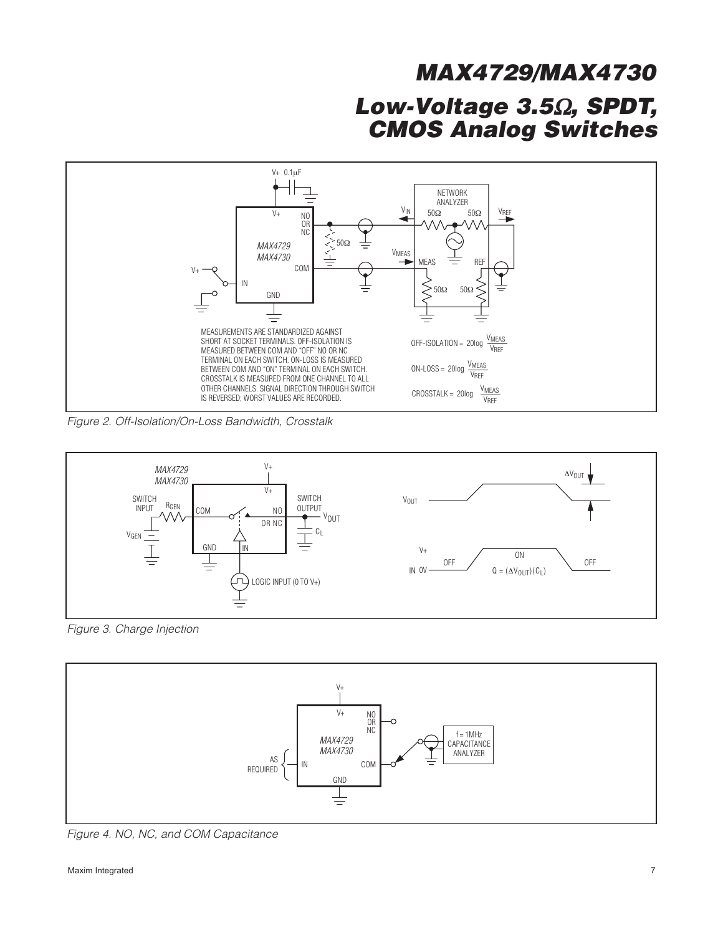

Figure 2. Off-Isolation/On-Loss Bandwidth, Crosstalk



Figure 3. Charge Injection



Figure 4. NO, NC, and COM Capacitance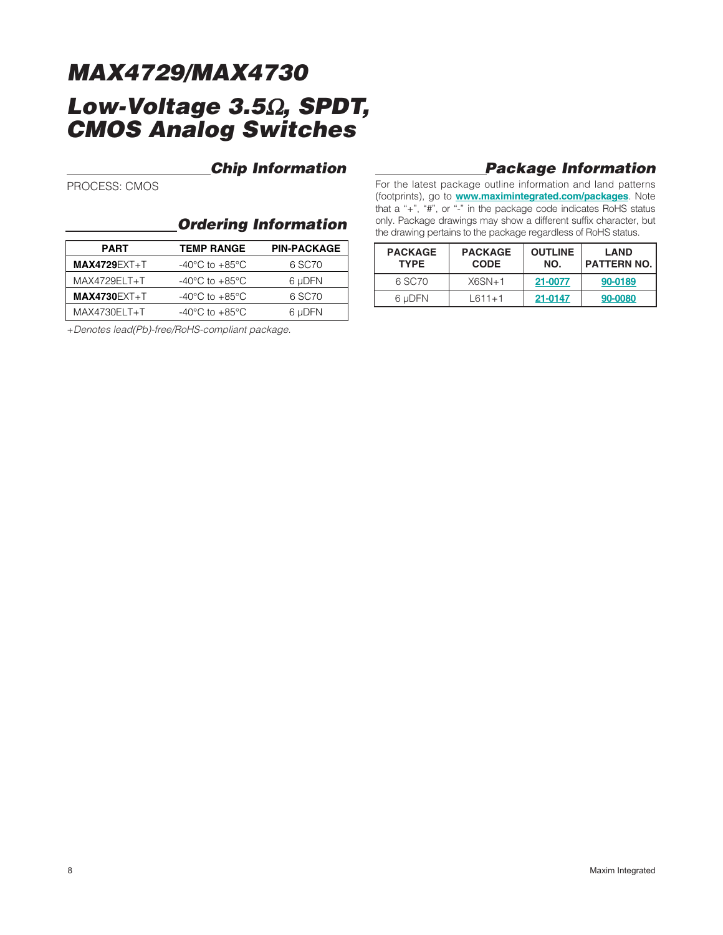### **Chip Information**

PROCESS: CMOS

### **Ordering Information**

| <b>PART</b>         | <b>TEMP RANGE</b>                    | <b>PIN-PACKAGE</b> |
|---------------------|--------------------------------------|--------------------|
| <b>MAX4729EXT+T</b> | -40 $^{\circ}$ C to +85 $^{\circ}$ C | 6 SC70             |
| MAX4729ELT+T        | -40 $^{\circ}$ C to +85 $^{\circ}$ C | 6 µDFN             |
| <b>MAX4730EXT+T</b> | -40 $^{\circ}$ C to +85 $^{\circ}$ C | 6 SC70             |
| MAX4730ELT+T        | $-40^{\circ}$ C to $+85^{\circ}$ C   | 6 µDFN             |

+Denotes lead(Pb)-free/RoHS-compliant package.

### **Package Information**

For the latest package outline information and land patterns (footprints), go to **www.maximintegrated.com/packages**. Note that a "+", "#", or "-" in the package code indicates RoHS status only. Package drawings may show a different suffix character, but the drawing pertains to the package regardless of RoHS status.

| <b>PACKAGE</b><br><b>TYPE</b> | <b>PACKAGE</b><br><b>CODE</b> | <b>OUTLINE</b><br>NO. | <b>LAND</b><br><b>PATTERN NO.</b> |
|-------------------------------|-------------------------------|-----------------------|-----------------------------------|
| 6 SC70                        | $X6SN+1$                      | 21-0077               | 90-0189                           |
| 6 uDFN                        | $L611+1$                      | 21-0147               | 90-0080                           |